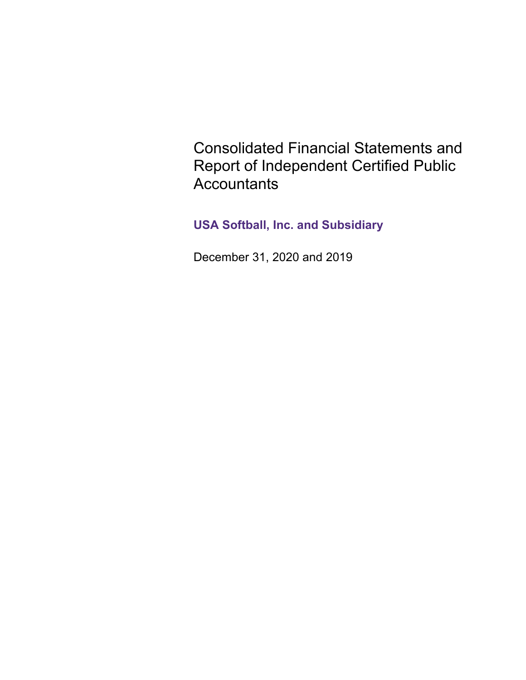Consolidated Financial Statements and Report of Independent Certified Public **Accountants** 

**USA Softball, Inc. and Subsidiary**

December 31, 2020 and 2019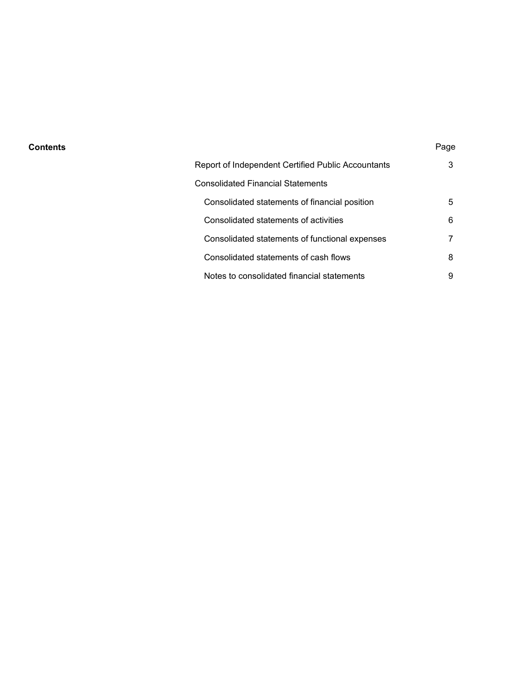#### **Contents** Page

| Report of Independent Certified Public Accountants | 3 |
|----------------------------------------------------|---|
| Consolidated Financial Statements                  |   |
| Consolidated statements of financial position      | 5 |
| Consolidated statements of activities              | 6 |
| Consolidated statements of functional expenses     | 7 |
| Consolidated statements of cash flows              | 8 |
| Notes to consolidated financial statements         | 9 |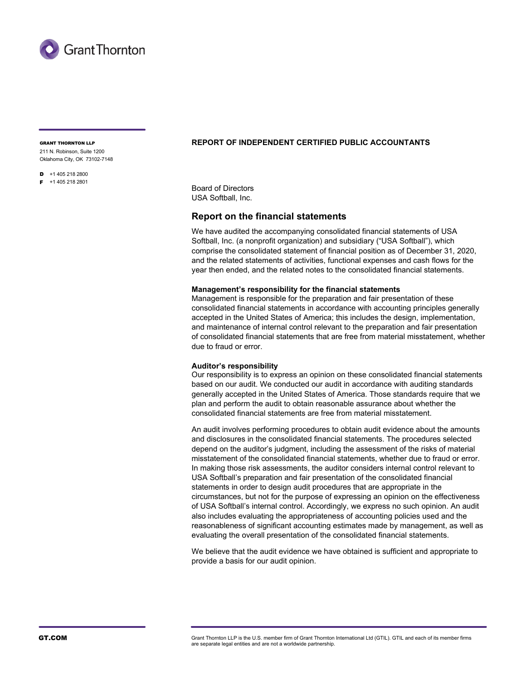

211 N. Robinson, Suite 1200

Oklahoma City, OK 73102-7148

- $\overline{D}$  +1 405 218 2800
- F +1 405 218 2801

## GRANT THORNTON LLP **REPORT OF INDEPENDENT CERTIFIED PUBLIC ACCOUNTANTS**

Board of Directors USA Softball, Inc.

## **Report on the financial statements**

We have audited the accompanying consolidated financial statements of USA Softball, Inc. (a nonprofit organization) and subsidiary ("USA Softball"), which comprise the consolidated statement of financial position as of December 31, 2020, and the related statements of activities, functional expenses and cash flows for the year then ended, and the related notes to the consolidated financial statements.

#### **Management's responsibility for the financial statements**

Management is responsible for the preparation and fair presentation of these consolidated financial statements in accordance with accounting principles generally accepted in the United States of America; this includes the design, implementation, and maintenance of internal control relevant to the preparation and fair presentation of consolidated financial statements that are free from material misstatement, whether due to fraud or error.

#### **Auditor's responsibility**

Our responsibility is to express an opinion on these consolidated financial statements based on our audit. We conducted our audit in accordance with auditing standards generally accepted in the United States of America. Those standards require that we plan and perform the audit to obtain reasonable assurance about whether the consolidated financial statements are free from material misstatement.

An audit involves performing procedures to obtain audit evidence about the amounts and disclosures in the consolidated financial statements. The procedures selected depend on the auditor's judgment, including the assessment of the risks of material misstatement of the consolidated financial statements, whether due to fraud or error. In making those risk assessments, the auditor considers internal control relevant to USA Softball's preparation and fair presentation of the consolidated financial statements in order to design audit procedures that are appropriate in the circumstances, but not for the purpose of expressing an opinion on the effectiveness of USA Softball's internal control. Accordingly, we express no such opinion. An audit also includes evaluating the appropriateness of accounting policies used and the reasonableness of significant accounting estimates made by management, as well as evaluating the overall presentation of the consolidated financial statements.

We believe that the audit evidence we have obtained is sufficient and appropriate to provide a basis for our audit opinion.

GT.COM GTACOM Grant Thornton LLP is the U.S. member firm of Grant Thornton International Ltd (GTIL). GTIL and each of its member firms are separate legal entities and are not a worldwide partnership.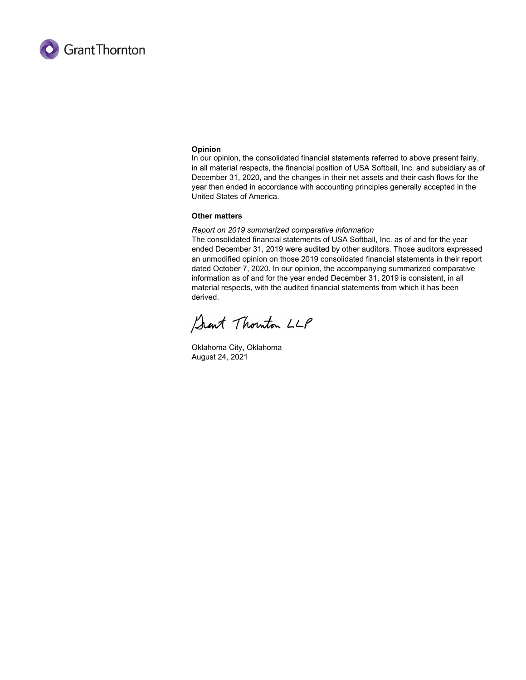

#### **Opinion**

In our opinion, the consolidated financial statements referred to above present fairly, in all material respects, the financial position of USA Softball, Inc. and subsidiary as of December 31, 2020, and the changes in their net assets and their cash flows for the year then ended in accordance with accounting principles generally accepted in the United States of America.

#### **Other matters**

#### *Report on 2019 summarized comparative information*

The consolidated financial statements of USA Softball, Inc. as of and for the year ended December 31, 2019 were audited by other auditors. Those auditors expressed an unmodified opinion on those 2019 consolidated financial statements in their report dated October 7, 2020. In our opinion, the accompanying summarized comparative information as of and for the year ended December 31, 2019 is consistent, in all material respects, with the audited financial statements from which it has been derived.

Sant Thouton LLP

Oklahoma City, Oklahoma August 24, 2021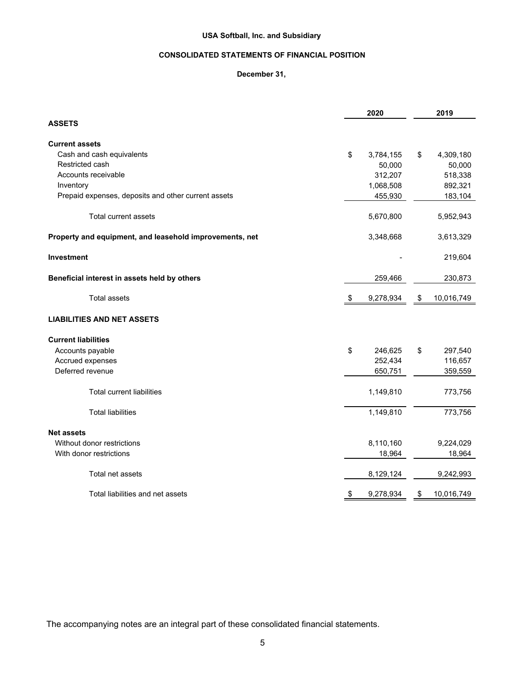## **CONSOLIDATED STATEMENTS OF FINANCIAL POSITION**

## **December 31,**

|                                                         |      | 2020      | 2019             |
|---------------------------------------------------------|------|-----------|------------------|
| <b>ASSETS</b>                                           |      |           |                  |
| <b>Current assets</b>                                   |      |           |                  |
| Cash and cash equivalents                               | \$   | 3,784,155 | \$<br>4,309,180  |
| Restricted cash                                         |      | 50,000    | 50,000           |
| Accounts receivable                                     |      | 312,207   | 518,338          |
| Inventory                                               |      | 1,068,508 | 892,321          |
| Prepaid expenses, deposits and other current assets     |      | 455,930   | 183,104          |
| <b>Total current assets</b>                             |      | 5,670,800 | 5,952,943        |
| Property and equipment, and leasehold improvements, net |      | 3,348,668 | 3,613,329        |
| <b>Investment</b>                                       |      |           | 219,604          |
| Beneficial interest in assets held by others            |      | 259,466   | 230,873          |
| <b>Total assets</b>                                     | - \$ | 9,278,934 | \$<br>10,016,749 |
| <b>LIABILITIES AND NET ASSETS</b>                       |      |           |                  |
| <b>Current liabilities</b>                              |      |           |                  |
| Accounts payable                                        | \$   | 246,625   | \$<br>297,540    |
| Accrued expenses                                        |      | 252,434   | 116,657          |
| Deferred revenue                                        |      | 650,751   | 359,559          |
| <b>Total current liabilities</b>                        |      | 1,149,810 | 773,756          |
| <b>Total liabilities</b>                                |      | 1,149,810 | 773,756          |
| <b>Net assets</b>                                       |      |           |                  |
| Without donor restrictions                              |      | 8,110,160 | 9,224,029        |
| With donor restrictions                                 |      | 18,964    | 18,964           |
| Total net assets                                        |      | 8,129,124 | 9,242,993        |
| Total liabilities and net assets                        | \$   | 9,278,934 | \$<br>10,016,749 |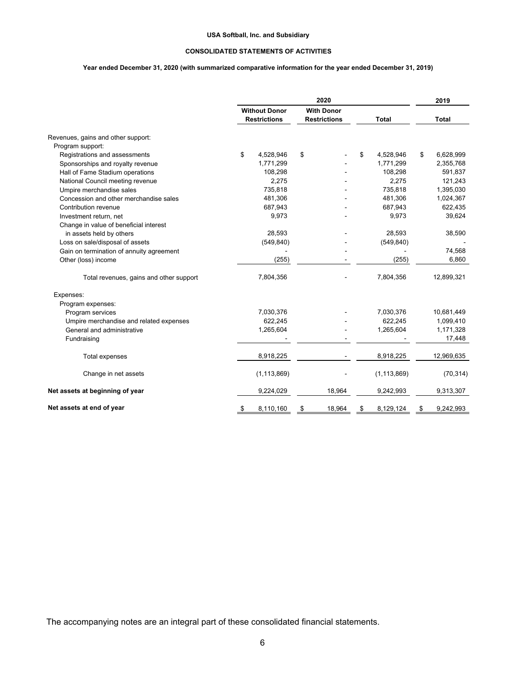#### **CONSOLIDATED STATEMENTS OF ACTIVITIES**

#### **Year ended December 31, 2020 (with summarized comparative information for the year ended December 31, 2019)**

|                                          |                                             | 2019                                     |                 |                 |
|------------------------------------------|---------------------------------------------|------------------------------------------|-----------------|-----------------|
|                                          | <b>Without Donor</b><br><b>Restrictions</b> | <b>With Donor</b><br><b>Restrictions</b> | <b>Total</b>    | <b>Total</b>    |
| Revenues, gains and other support:       |                                             |                                          |                 |                 |
| Program support:                         |                                             |                                          |                 |                 |
| Registrations and assessments            | \$<br>4,528,946                             | \$                                       | \$<br>4,528,946 | \$<br>6,628,999 |
| Sponsorships and royalty revenue         | 1,771,299                                   |                                          | 1,771,299       | 2,355,768       |
| Hall of Fame Stadium operations          | 108,298                                     |                                          | 108,298         | 591,837         |
| National Council meeting revenue         | 2,275                                       |                                          | 2,275           | 121,243         |
| Umpire merchandise sales                 | 735,818                                     |                                          | 735,818         | 1,395,030       |
| Concession and other merchandise sales   | 481,306                                     |                                          | 481,306         | 1,024,367       |
| Contribution revenue                     | 687,943                                     |                                          | 687,943         | 622,435         |
| Investment return, net                   | 9,973                                       |                                          | 9,973           | 39,624          |
| Change in value of beneficial interest   |                                             |                                          |                 |                 |
| in assets held by others                 | 28,593                                      |                                          | 28,593          | 38,590          |
| Loss on sale/disposal of assets          | (549, 840)                                  |                                          | (549, 840)      |                 |
| Gain on termination of annuity agreement |                                             |                                          |                 | 74,568          |
| Other (loss) income                      | (255)                                       |                                          | (255)           | 6,860           |
| Total revenues, gains and other support  | 7,804,356                                   |                                          | 7,804,356       | 12,899,321      |
| Expenses:                                |                                             |                                          |                 |                 |
| Program expenses:                        |                                             |                                          |                 |                 |
| Program services                         | 7,030,376                                   |                                          | 7,030,376       | 10,681,449      |
| Umpire merchandise and related expenses  | 622,245                                     |                                          | 622,245         | 1,099,410       |
| General and administrative               | 1,265,604                                   |                                          | 1,265,604       | 1,171,328       |
| Fundraising                              |                                             |                                          |                 | 17,448          |
| Total expenses                           | 8,918,225                                   |                                          | 8,918,225       | 12,969,635      |
| Change in net assets                     | (1, 113, 869)                               |                                          | (1, 113, 869)   | (70, 314)       |
| Net assets at beginning of year          | 9,224,029                                   | 18,964                                   | 9,242,993       | 9,313,307       |
| Net assets at end of year                | 8,110,160<br>\$                             | 18,964<br>\$                             | 8,129,124<br>\$ | 9,242,993<br>\$ |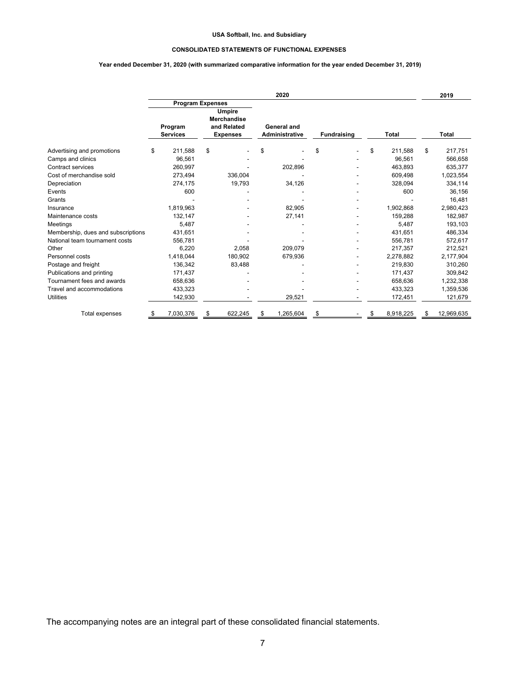#### **CONSOLIDATED STATEMENTS OF FUNCTIONAL EXPENSES**

#### **Year ended December 31, 2020 (with summarized comparative information for the year ended December 31, 2019)**

|                                    | 2020                       |                         |                                                                       |         |                                      |           |                    |  | 2019  |           |                  |
|------------------------------------|----------------------------|-------------------------|-----------------------------------------------------------------------|---------|--------------------------------------|-----------|--------------------|--|-------|-----------|------------------|
|                                    |                            | <b>Program Expenses</b> |                                                                       |         |                                      |           |                    |  |       |           |                  |
|                                    | Program<br><b>Services</b> |                         | <b>Umpire</b><br><b>Merchandise</b><br>and Related<br><b>Expenses</b> |         | General and<br><b>Administrative</b> |           | <b>Fundraising</b> |  | Total |           | <b>Total</b>     |
| Advertising and promotions         | \$                         | 211,588                 | \$                                                                    |         | \$                                   |           | \$                 |  | \$    | 211,588   | \$<br>217,751    |
| Camps and clinics                  |                            | 96,561                  |                                                                       |         |                                      |           |                    |  |       | 96,561    | 566,658          |
| <b>Contract services</b>           |                            | 260,997                 |                                                                       |         |                                      | 202,896   |                    |  |       | 463,893   | 635,377          |
| Cost of merchandise sold           |                            | 273,494                 |                                                                       | 336,004 |                                      |           |                    |  |       | 609,498   | 1,023,554        |
| Depreciation                       |                            | 274,175                 |                                                                       | 19,793  |                                      | 34,126    |                    |  |       | 328,094   | 334,114          |
| Events                             |                            | 600                     |                                                                       |         |                                      |           |                    |  |       | 600       | 36,156           |
| Grants                             |                            |                         |                                                                       |         |                                      |           |                    |  |       |           | 16,481           |
| Insurance                          |                            | 1,819,963               |                                                                       |         |                                      | 82,905    |                    |  |       | 1,902,868 | 2,980,423        |
| Maintenance costs                  |                            | 132,147                 |                                                                       |         |                                      | 27,141    |                    |  |       | 159,288   | 182,987          |
| Meetings                           |                            | 5,487                   |                                                                       |         |                                      |           |                    |  |       | 5,487     | 193,103          |
| Membership, dues and subscriptions |                            | 431,651                 |                                                                       |         |                                      |           |                    |  |       | 431,651   | 486,334          |
| National team tournament costs     |                            | 556,781                 |                                                                       |         |                                      |           |                    |  |       | 556,781   | 572,617          |
| Other                              |                            | 6,220                   |                                                                       | 2,058   |                                      | 209,079   |                    |  |       | 217.357   | 212,521          |
| Personnel costs                    |                            | 1,418,044               |                                                                       | 180,902 |                                      | 679,936   |                    |  |       | 2,278,882 | 2,177,904        |
| Postage and freight                |                            | 136,342                 |                                                                       | 83,488  |                                      |           |                    |  |       | 219,830   | 310,260          |
| Publications and printing          |                            | 171,437                 |                                                                       |         |                                      |           |                    |  |       | 171,437   | 309,842          |
| Tournament fees and awards         |                            | 658,636                 |                                                                       |         |                                      |           |                    |  |       | 658,636   | 1,232,338        |
| Travel and accommodations          |                            | 433,323                 |                                                                       |         |                                      |           |                    |  |       | 433,323   | 1,359,536        |
| <b>Utilities</b>                   |                            | 142,930                 |                                                                       |         |                                      | 29,521    |                    |  |       | 172,451   | 121,679          |
| Total expenses                     | \$                         | 7,030,376               | \$                                                                    | 622,245 | \$                                   | 1,265,604 | \$                 |  | \$    | 8,918,225 | \$<br>12,969,635 |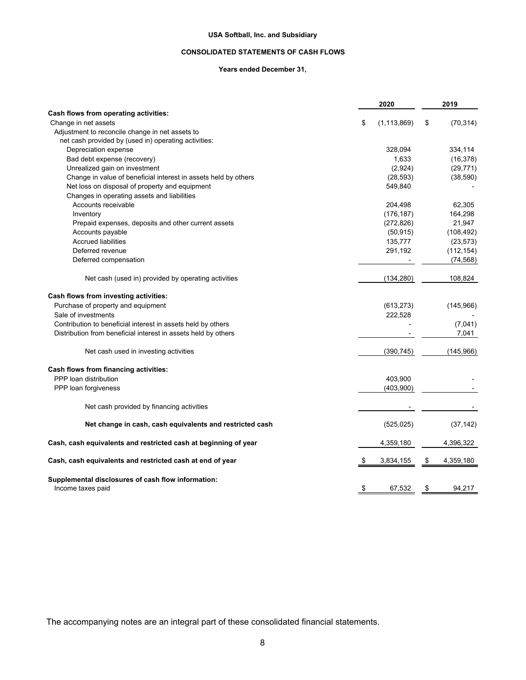#### **CONSOLIDATED STATEMENTS OF CASH FLOWS**

#### **Years ended December 31,**

|                                                                 | 2020                | 2019            |
|-----------------------------------------------------------------|---------------------|-----------------|
| Cash flows from operating activities:                           |                     |                 |
| Change in net assets                                            | \$<br>(1, 113, 869) | \$<br>(70, 314) |
| Adjustment to reconcile change in net assets to                 |                     |                 |
| net cash provided by (used in) operating activities:            |                     |                 |
| Depreciation expense                                            | 328,094             | 334,114         |
| Bad debt expense (recovery)                                     | 1,633               | (16, 378)       |
| Unrealized gain on investment                                   | (2,924)             | (29, 771)       |
| Change in value of beneficial interest in assets held by others | (28, 593)           | (38, 590)       |
| Net loss on disposal of property and equipment                  | 549,840             |                 |
| Changes in operating assets and liabilities                     |                     |                 |
| Accounts receivable                                             | 204,498             | 62,305          |
| Inventory                                                       | (176, 187)          | 164,298         |
| Prepaid expenses, deposits and other current assets             | (272, 826)          | 21,947          |
| Accounts payable                                                | (50, 915)           | (108, 492)      |
| <b>Accrued liabilities</b>                                      | 135,777             | (23, 573)       |
| Deferred revenue                                                | 291,192             | (112, 154)      |
| Deferred compensation                                           |                     | (74, 568)       |
| Net cash (used in) provided by operating activities             | (134, 280)          | 108,824         |
| Cash flows from investing activities:                           |                     |                 |
| Purchase of property and equipment                              | (613, 273)          | (145,966)       |
| Sale of investments                                             | 222,528             |                 |
| Contribution to beneficial interest in assets held by others    |                     | (7,041)         |
| Distribution from beneficial interest in assets held by others  |                     | 7,041           |
| Net cash used in investing activities                           | (390, 745)          | (145, 966)      |
| Cash flows from financing activities:                           |                     |                 |
| PPP loan distribution                                           | 403,900             |                 |
| PPP loan forgiveness                                            | (403,900)           |                 |
| Net cash provided by financing activities                       |                     |                 |
| Net change in cash, cash equivalents and restricted cash        | (525, 025)          | (37, 142)       |
| Cash, cash equivalents and restricted cash at beginning of year | 4,359,180           | 4,396,322       |
| Cash, cash equivalents and restricted cash at end of year       | \$<br>3,834,155     | \$<br>4,359,180 |
| Supplemental disclosures of cash flow information:              |                     |                 |
| Income taxes paid                                               | \$<br>67,532        | \$<br>94,217    |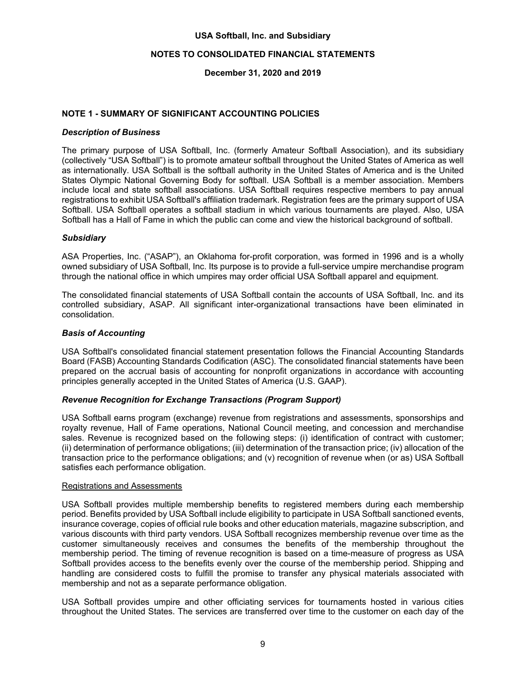### **NOTES TO CONSOLIDATED FINANCIAL STATEMENTS**

## **December 31, 2020 and 2019**

## **NOTE 1 - SUMMARY OF SIGNIFICANT ACCOUNTING POLICIES**

#### *Description of Business*

The primary purpose of USA Softball, Inc. (formerly Amateur Softball Association), and its subsidiary (collectively "USA Softball") is to promote amateur softball throughout the United States of America as well as internationally. USA Softball is the softball authority in the United States of America and is the United States Olympic National Governing Body for softball. USA Softball is a member association. Members include local and state softball associations. USA Softball requires respective members to pay annual registrations to exhibit USA Softball's affiliation trademark. Registration fees are the primary support of USA Softball. USA Softball operates a softball stadium in which various tournaments are played. Also, USA Softball has a Hall of Fame in which the public can come and view the historical background of softball.

#### *Subsidiary*

ASA Properties, Inc. ("ASAP"), an Oklahoma for-profit corporation, was formed in 1996 and is a wholly owned subsidiary of USA Softball, Inc. Its purpose is to provide a full-service umpire merchandise program through the national office in which umpires may order official USA Softball apparel and equipment.

The consolidated financial statements of USA Softball contain the accounts of USA Softball, Inc. and its controlled subsidiary, ASAP. All significant inter-organizational transactions have been eliminated in consolidation.

#### *Basis of Accounting*

USA Softball's consolidated financial statement presentation follows the Financial Accounting Standards Board (FASB) Accounting Standards Codification (ASC). The consolidated financial statements have been prepared on the accrual basis of accounting for nonprofit organizations in accordance with accounting principles generally accepted in the United States of America (U.S. GAAP).

#### *Revenue Recognition for Exchange Transactions (Program Support)*

USA Softball earns program (exchange) revenue from registrations and assessments, sponsorships and royalty revenue, Hall of Fame operations, National Council meeting, and concession and merchandise sales. Revenue is recognized based on the following steps: (i) identification of contract with customer; (ii) determination of performance obligations; (iii) determination of the transaction price; (iv) allocation of the transaction price to the performance obligations; and (v) recognition of revenue when (or as) USA Softball satisfies each performance obligation.

#### Registrations and Assessments

USA Softball provides multiple membership benefits to registered members during each membership period. Benefits provided by USA Softball include eligibility to participate in USA Softball sanctioned events, insurance coverage, copies of official rule books and other education materials, magazine subscription, and various discounts with third party vendors. USA Softball recognizes membership revenue over time as the customer simultaneously receives and consumes the benefits of the membership throughout the membership period. The timing of revenue recognition is based on a time-measure of progress as USA Softball provides access to the benefits evenly over the course of the membership period. Shipping and handling are considered costs to fulfill the promise to transfer any physical materials associated with membership and not as a separate performance obligation.

USA Softball provides umpire and other officiating services for tournaments hosted in various cities throughout the United States. The services are transferred over time to the customer on each day of the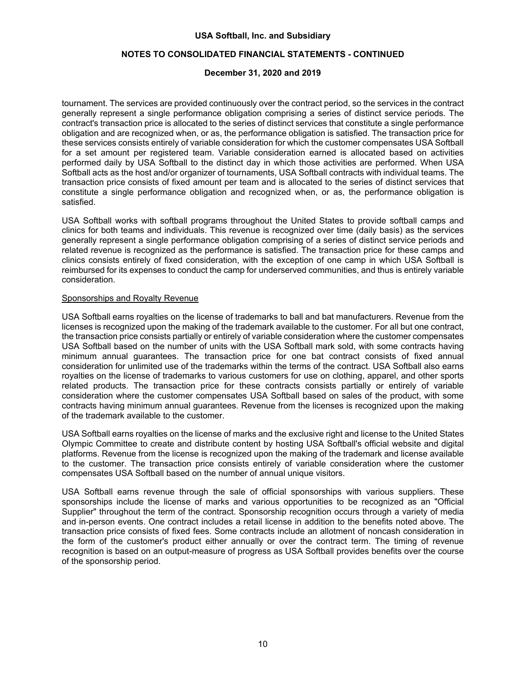## **NOTES TO CONSOLIDATED FINANCIAL STATEMENTS - CONTINUED**

## **December 31, 2020 and 2019**

tournament. The services are provided continuously over the contract period, so the services in the contract generally represent a single performance obligation comprising a series of distinct service periods. The contract's transaction price is allocated to the series of distinct services that constitute a single performance obligation and are recognized when, or as, the performance obligation is satisfied. The transaction price for these services consists entirely of variable consideration for which the customer compensates USA Softball for a set amount per registered team. Variable consideration earned is allocated based on activities performed daily by USA Softball to the distinct day in which those activities are performed. When USA Softball acts as the host and/or organizer of tournaments, USA Softball contracts with individual teams. The transaction price consists of fixed amount per team and is allocated to the series of distinct services that constitute a single performance obligation and recognized when, or as, the performance obligation is satisfied.

USA Softball works with softball programs throughout the United States to provide softball camps and clinics for both teams and individuals. This revenue is recognized over time (daily basis) as the services generally represent a single performance obligation comprising of a series of distinct service periods and related revenue is recognized as the performance is satisfied. The transaction price for these camps and clinics consists entirely of fixed consideration, with the exception of one camp in which USA Softball is reimbursed for its expenses to conduct the camp for underserved communities, and thus is entirely variable consideration.

## Sponsorships and Royalty Revenue

USA Softball earns royalties on the license of trademarks to ball and bat manufacturers. Revenue from the licenses is recognized upon the making of the trademark available to the customer. For all but one contract, the transaction price consists partially or entirely of variable consideration where the customer compensates USA Softball based on the number of units with the USA Softball mark sold, with some contracts having minimum annual guarantees. The transaction price for one bat contract consists of fixed annual consideration for unlimited use of the trademarks within the terms of the contract. USA Softball also earns royalties on the license of trademarks to various customers for use on clothing, apparel, and other sports related products. The transaction price for these contracts consists partially or entirely of variable consideration where the customer compensates USA Softball based on sales of the product, with some contracts having minimum annual guarantees. Revenue from the licenses is recognized upon the making of the trademark available to the customer.

USA Softball earns royalties on the license of marks and the exclusive right and license to the United States Olympic Committee to create and distribute content by hosting USA Softball's official website and digital platforms. Revenue from the license is recognized upon the making of the trademark and license available to the customer. The transaction price consists entirely of variable consideration where the customer compensates USA Softball based on the number of annual unique visitors.

USA Softball earns revenue through the sale of official sponsorships with various suppliers. These sponsorships include the license of marks and various opportunities to be recognized as an "Official Supplier" throughout the term of the contract. Sponsorship recognition occurs through a variety of media and in-person events. One contract includes a retail license in addition to the benefits noted above. The transaction price consists of fixed fees. Some contracts include an allotment of noncash consideration in the form of the customer's product either annually or over the contract term. The timing of revenue recognition is based on an output-measure of progress as USA Softball provides benefits over the course of the sponsorship period.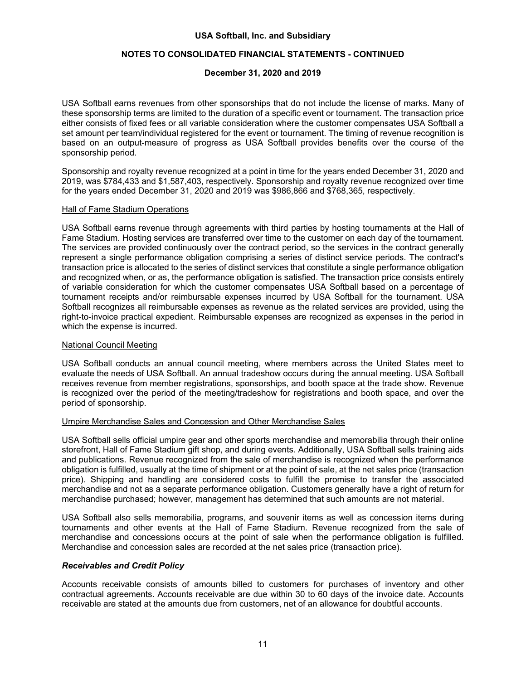## **NOTES TO CONSOLIDATED FINANCIAL STATEMENTS - CONTINUED**

## **December 31, 2020 and 2019**

USA Softball earns revenues from other sponsorships that do not include the license of marks. Many of these sponsorship terms are limited to the duration of a specific event or tournament. The transaction price either consists of fixed fees or all variable consideration where the customer compensates USA Softball a set amount per team/individual registered for the event or tournament. The timing of revenue recognition is based on an output-measure of progress as USA Softball provides benefits over the course of the sponsorship period.

Sponsorship and royalty revenue recognized at a point in time for the years ended December 31, 2020 and 2019, was \$784,433 and \$1,587,403, respectively. Sponsorship and royalty revenue recognized over time for the years ended December 31, 2020 and 2019 was \$986,866 and \$768,365, respectively.

#### Hall of Fame Stadium Operations

USA Softball earns revenue through agreements with third parties by hosting tournaments at the Hall of Fame Stadium. Hosting services are transferred over time to the customer on each day of the tournament. The services are provided continuously over the contract period, so the services in the contract generally represent a single performance obligation comprising a series of distinct service periods. The contract's transaction price is allocated to the series of distinct services that constitute a single performance obligation and recognized when, or as, the performance obligation is satisfied. The transaction price consists entirely of variable consideration for which the customer compensates USA Softball based on a percentage of tournament receipts and/or reimbursable expenses incurred by USA Softball for the tournament. USA Softball recognizes all reimbursable expenses as revenue as the related services are provided, using the right-to-invoice practical expedient. Reimbursable expenses are recognized as expenses in the period in which the expense is incurred.

#### National Council Meeting

USA Softball conducts an annual council meeting, where members across the United States meet to evaluate the needs of USA Softball. An annual tradeshow occurs during the annual meeting. USA Softball receives revenue from member registrations, sponsorships, and booth space at the trade show. Revenue is recognized over the period of the meeting/tradeshow for registrations and booth space, and over the period of sponsorship.

## Umpire Merchandise Sales and Concession and Other Merchandise Sales

USA Softball sells official umpire gear and other sports merchandise and memorabilia through their online storefront, Hall of Fame Stadium gift shop, and during events. Additionally, USA Softball sells training aids and publications. Revenue recognized from the sale of merchandise is recognized when the performance obligation is fulfilled, usually at the time of shipment or at the point of sale, at the net sales price (transaction price). Shipping and handling are considered costs to fulfill the promise to transfer the associated merchandise and not as a separate performance obligation. Customers generally have a right of return for merchandise purchased; however, management has determined that such amounts are not material.

USA Softball also sells memorabilia, programs, and souvenir items as well as concession items during tournaments and other events at the Hall of Fame Stadium. Revenue recognized from the sale of merchandise and concessions occurs at the point of sale when the performance obligation is fulfilled. Merchandise and concession sales are recorded at the net sales price (transaction price).

#### *Receivables and Credit Policy*

Accounts receivable consists of amounts billed to customers for purchases of inventory and other contractual agreements. Accounts receivable are due within 30 to 60 days of the invoice date. Accounts receivable are stated at the amounts due from customers, net of an allowance for doubtful accounts.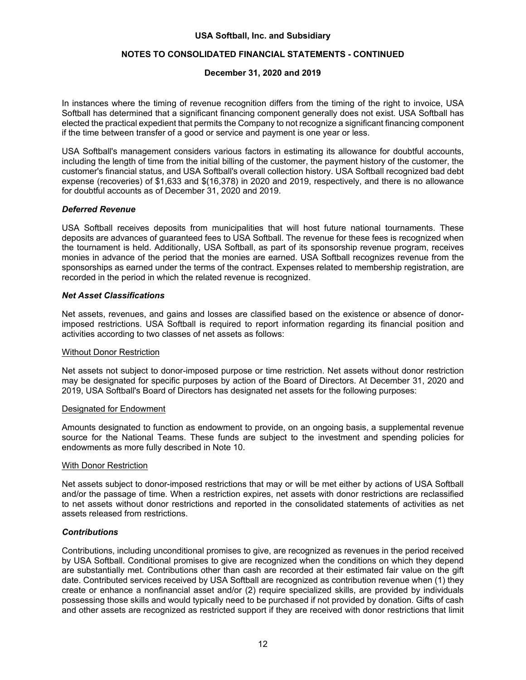## **NOTES TO CONSOLIDATED FINANCIAL STATEMENTS - CONTINUED**

## **December 31, 2020 and 2019**

In instances where the timing of revenue recognition differs from the timing of the right to invoice, USA Softball has determined that a significant financing component generally does not exist. USA Softball has elected the practical expedient that permits the Company to not recognize a significant financing component if the time between transfer of a good or service and payment is one year or less.

USA Softball's management considers various factors in estimating its allowance for doubtful accounts, including the length of time from the initial billing of the customer, the payment history of the customer, the customer's financial status, and USA Softball's overall collection history. USA Softball recognized bad debt expense (recoveries) of \$1,633 and \$(16,378) in 2020 and 2019, respectively, and there is no allowance for doubtful accounts as of December 31, 2020 and 2019.

#### *Deferred Revenue*

USA Softball receives deposits from municipalities that will host future national tournaments. These deposits are advances of guaranteed fees to USA Softball. The revenue for these fees is recognized when the tournament is held. Additionally, USA Softball, as part of its sponsorship revenue program, receives monies in advance of the period that the monies are earned. USA Softball recognizes revenue from the sponsorships as earned under the terms of the contract. Expenses related to membership registration, are recorded in the period in which the related revenue is recognized.

#### *Net Asset Classifications*

Net assets, revenues, and gains and losses are classified based on the existence or absence of donorimposed restrictions. USA Softball is required to report information regarding its financial position and activities according to two classes of net assets as follows:

#### Without Donor Restriction

Net assets not subject to donor-imposed purpose or time restriction. Net assets without donor restriction may be designated for specific purposes by action of the Board of Directors. At December 31, 2020 and 2019, USA Softball's Board of Directors has designated net assets for the following purposes:

#### Designated for Endowment

Amounts designated to function as endowment to provide, on an ongoing basis, a supplemental revenue source for the National Teams. These funds are subject to the investment and spending policies for endowments as more fully described in Note 10.

#### With Donor Restriction

Net assets subject to donor-imposed restrictions that may or will be met either by actions of USA Softball and/or the passage of time. When a restriction expires, net assets with donor restrictions are reclassified to net assets without donor restrictions and reported in the consolidated statements of activities as net assets released from restrictions.

#### *Contributions*

Contributions, including unconditional promises to give, are recognized as revenues in the period received by USA Softball. Conditional promises to give are recognized when the conditions on which they depend are substantially met. Contributions other than cash are recorded at their estimated fair value on the gift date. Contributed services received by USA Softball are recognized as contribution revenue when (1) they create or enhance a nonfinancial asset and/or (2) require specialized skills, are provided by individuals possessing those skills and would typically need to be purchased if not provided by donation. Gifts of cash and other assets are recognized as restricted support if they are received with donor restrictions that limit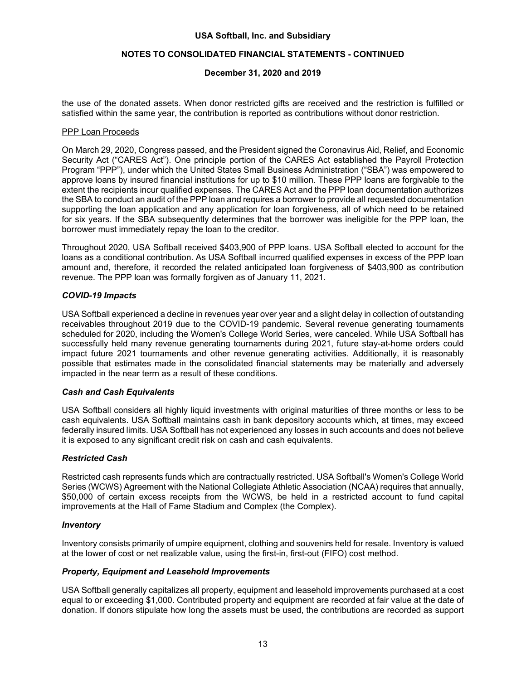## **NOTES TO CONSOLIDATED FINANCIAL STATEMENTS - CONTINUED**

## **December 31, 2020 and 2019**

the use of the donated assets. When donor restricted gifts are received and the restriction is fulfilled or satisfied within the same year, the contribution is reported as contributions without donor restriction.

#### PPP Loan Proceeds

On March 29, 2020, Congress passed, and the President signed the Coronavirus Aid, Relief, and Economic Security Act ("CARES Act"). One principle portion of the CARES Act established the Payroll Protection Program "PPP"), under which the United States Small Business Administration ("SBA") was empowered to approve loans by insured financial institutions for up to \$10 million. These PPP loans are forgivable to the extent the recipients incur qualified expenses. The CARES Act and the PPP loan documentation authorizes the SBA to conduct an audit of the PPP loan and requires a borrower to provide all requested documentation supporting the loan application and any application for loan forgiveness, all of which need to be retained for six years. If the SBA subsequently determines that the borrower was ineligible for the PPP loan, the borrower must immediately repay the loan to the creditor.

Throughout 2020, USA Softball received \$403,900 of PPP loans. USA Softball elected to account for the loans as a conditional contribution. As USA Softball incurred qualified expenses in excess of the PPP loan amount and, therefore, it recorded the related anticipated loan forgiveness of \$403,900 as contribution revenue. The PPP loan was formally forgiven as of January 11, 2021.

## *COVID-19 Impacts*

USA Softball experienced a decline in revenues year over year and a slight delay in collection of outstanding receivables throughout 2019 due to the COVID-19 pandemic. Several revenue generating tournaments scheduled for 2020, including the Women's College World Series, were canceled. While USA Softball has successfully held many revenue generating tournaments during 2021, future stay-at-home orders could impact future 2021 tournaments and other revenue generating activities. Additionally, it is reasonably possible that estimates made in the consolidated financial statements may be materially and adversely impacted in the near term as a result of these conditions.

#### *Cash and Cash Equivalents*

USA Softball considers all highly liquid investments with original maturities of three months or less to be cash equivalents. USA Softball maintains cash in bank depository accounts which, at times, may exceed federally insured limits. USA Softball has not experienced any losses in such accounts and does not believe it is exposed to any significant credit risk on cash and cash equivalents.

#### *Restricted Cash*

Restricted cash represents funds which are contractually restricted. USA Softball's Women's College World Series (WCWS) Agreement with the National Collegiate Athletic Association (NCAA) requires that annually, \$50,000 of certain excess receipts from the WCWS, be held in a restricted account to fund capital improvements at the Hall of Fame Stadium and Complex (the Complex).

#### *Inventory*

Inventory consists primarily of umpire equipment, clothing and souvenirs held for resale. Inventory is valued at the lower of cost or net realizable value, using the first-in, first-out (FIFO) cost method.

#### *Property, Equipment and Leasehold Improvements*

USA Softball generally capitalizes all property, equipment and leasehold improvements purchased at a cost equal to or exceeding \$1,000. Contributed property and equipment are recorded at fair value at the date of donation. If donors stipulate how long the assets must be used, the contributions are recorded as support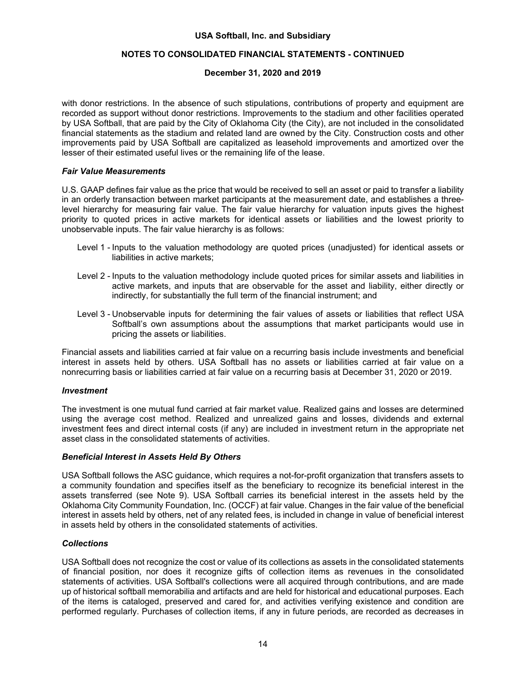## **NOTES TO CONSOLIDATED FINANCIAL STATEMENTS - CONTINUED**

## **December 31, 2020 and 2019**

with donor restrictions. In the absence of such stipulations, contributions of property and equipment are recorded as support without donor restrictions. Improvements to the stadium and other facilities operated by USA Softball, that are paid by the City of Oklahoma City (the City), are not included in the consolidated financial statements as the stadium and related land are owned by the City. Construction costs and other improvements paid by USA Softball are capitalized as leasehold improvements and amortized over the lesser of their estimated useful lives or the remaining life of the lease.

#### *Fair Value Measurements*

U.S. GAAP defines fair value as the price that would be received to sell an asset or paid to transfer a liability in an orderly transaction between market participants at the measurement date, and establishes a threelevel hierarchy for measuring fair value. The fair value hierarchy for valuation inputs gives the highest priority to quoted prices in active markets for identical assets or liabilities and the lowest priority to unobservable inputs. The fair value hierarchy is as follows:

- Level 1 Inputs to the valuation methodology are quoted prices (unadjusted) for identical assets or liabilities in active markets;
- Level 2 Inputs to the valuation methodology include quoted prices for similar assets and liabilities in active markets, and inputs that are observable for the asset and liability, either directly or indirectly, for substantially the full term of the financial instrument; and
- Level 3 Unobservable inputs for determining the fair values of assets or liabilities that reflect USA Softball's own assumptions about the assumptions that market participants would use in pricing the assets or liabilities.

Financial assets and liabilities carried at fair value on a recurring basis include investments and beneficial interest in assets held by others. USA Softball has no assets or liabilities carried at fair value on a nonrecurring basis or liabilities carried at fair value on a recurring basis at December 31, 2020 or 2019.

#### *Investment*

The investment is one mutual fund carried at fair market value. Realized gains and losses are determined using the average cost method. Realized and unrealized gains and losses, dividends and external investment fees and direct internal costs (if any) are included in investment return in the appropriate net asset class in the consolidated statements of activities.

#### *Beneficial Interest in Assets Held By Others*

USA Softball follows the ASC guidance, which requires a not-for-profit organization that transfers assets to a community foundation and specifies itself as the beneficiary to recognize its beneficial interest in the assets transferred (see Note 9). USA Softball carries its beneficial interest in the assets held by the Oklahoma City Community Foundation, Inc. (OCCF) at fair value. Changes in the fair value of the beneficial interest in assets held by others, net of any related fees, is included in change in value of beneficial interest in assets held by others in the consolidated statements of activities.

#### *Collections*

USA Softball does not recognize the cost or value of its collections as assets in the consolidated statements of financial position, nor does it recognize gifts of collection items as revenues in the consolidated statements of activities. USA Softball's collections were all acquired through contributions, and are made up of historical softball memorabilia and artifacts and are held for historical and educational purposes. Each of the items is cataloged, preserved and cared for, and activities verifying existence and condition are performed regularly. Purchases of collection items, if any in future periods, are recorded as decreases in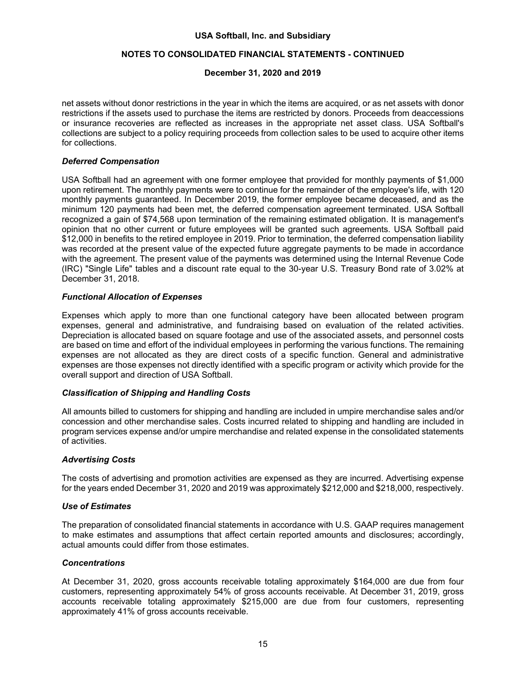## **NOTES TO CONSOLIDATED FINANCIAL STATEMENTS - CONTINUED**

## **December 31, 2020 and 2019**

net assets without donor restrictions in the year in which the items are acquired, or as net assets with donor restrictions if the assets used to purchase the items are restricted by donors. Proceeds from deaccessions or insurance recoveries are reflected as increases in the appropriate net asset class. USA Softball's collections are subject to a policy requiring proceeds from collection sales to be used to acquire other items for collections.

## *Deferred Compensation*

USA Softball had an agreement with one former employee that provided for monthly payments of \$1,000 upon retirement. The monthly payments were to continue for the remainder of the employee's life, with 120 monthly payments guaranteed. In December 2019, the former employee became deceased, and as the minimum 120 payments had been met, the deferred compensation agreement terminated. USA Softball recognized a gain of \$74,568 upon termination of the remaining estimated obligation. It is management's opinion that no other current or future employees will be granted such agreements. USA Softball paid \$12,000 in benefits to the retired employee in 2019. Prior to termination, the deferred compensation liability was recorded at the present value of the expected future aggregate payments to be made in accordance with the agreement. The present value of the payments was determined using the Internal Revenue Code (IRC) "Single Life" tables and a discount rate equal to the 30-year U.S. Treasury Bond rate of 3.02% at December 31, 2018.

## *Functional Allocation of Expenses*

Expenses which apply to more than one functional category have been allocated between program expenses, general and administrative, and fundraising based on evaluation of the related activities. Depreciation is allocated based on square footage and use of the associated assets, and personnel costs are based on time and effort of the individual employees in performing the various functions. The remaining expenses are not allocated as they are direct costs of a specific function. General and administrative expenses are those expenses not directly identified with a specific program or activity which provide for the overall support and direction of USA Softball.

## *Classification of Shipping and Handling Costs*

All amounts billed to customers for shipping and handling are included in umpire merchandise sales and/or concession and other merchandise sales. Costs incurred related to shipping and handling are included in program services expense and/or umpire merchandise and related expense in the consolidated statements of activities.

#### *Advertising Costs*

The costs of advertising and promotion activities are expensed as they are incurred. Advertising expense for the years ended December 31, 2020 and 2019 was approximately \$212,000 and \$218,000, respectively.

## *Use of Estimates*

The preparation of consolidated financial statements in accordance with U.S. GAAP requires management to make estimates and assumptions that affect certain reported amounts and disclosures; accordingly, actual amounts could differ from those estimates.

#### *Concentrations*

At December 31, 2020, gross accounts receivable totaling approximately \$164,000 are due from four customers, representing approximately 54% of gross accounts receivable. At December 31, 2019, gross accounts receivable totaling approximately \$215,000 are due from four customers, representing approximately 41% of gross accounts receivable.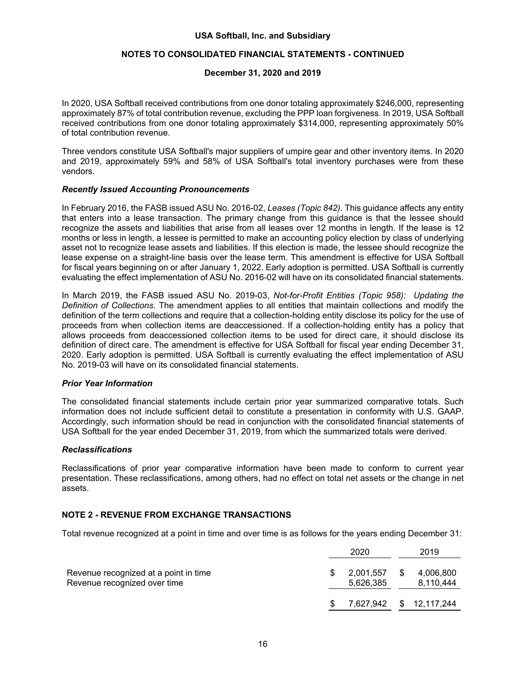## **NOTES TO CONSOLIDATED FINANCIAL STATEMENTS - CONTINUED**

#### **December 31, 2020 and 2019**

In 2020, USA Softball received contributions from one donor totaling approximately \$246,000, representing approximately 87% of total contribution revenue, excluding the PPP loan forgiveness. In 2019, USA Softball received contributions from one donor totaling approximately \$314,000, representing approximately 50% of total contribution revenue.

Three vendors constitute USA Softball's major suppliers of umpire gear and other inventory items. In 2020 and 2019, approximately 59% and 58% of USA Softball's total inventory purchases were from these vendors.

#### *Recently Issued Accounting Pronouncements*

In February 2016, the FASB issued ASU No. 2016-02, *Leases (Topic 842)*. This guidance affects any entity that enters into a lease transaction. The primary change from this guidance is that the lessee should recognize the assets and liabilities that arise from all leases over 12 months in length. If the lease is 12 months or less in length, a lessee is permitted to make an accounting policy election by class of underlying asset not to recognize lease assets and liabilities. If this election is made, the lessee should recognize the lease expense on a straight-line basis over the lease term. This amendment is effective for USA Softball for fiscal years beginning on or after January 1, 2022. Early adoption is permitted. USA Softball is currently evaluating the effect implementation of ASU No. 2016-02 will have on its consolidated financial statements.

In March 2019, the FASB issued ASU No. 2019-03, *Not-for-Profit Entities (Topic 958): Updating the Definition of Collections*. The amendment applies to all entities that maintain collections and modify the definition of the term collections and require that a collection-holding entity disclose its policy for the use of proceeds from when collection items are deaccessioned. If a collection-holding entity has a policy that allows proceeds from deaccessioned collection items to be used for direct care, it should disclose its definition of direct care. The amendment is effective for USA Softball for fiscal year ending December 31, 2020. Early adoption is permitted. USA Softball is currently evaluating the effect implementation of ASU No. 2019-03 will have on its consolidated financial statements.

#### *Prior Year Information*

The consolidated financial statements include certain prior year summarized comparative totals. Such information does not include sufficient detail to constitute a presentation in conformity with U.S. GAAP. Accordingly, such information should be read in conjunction with the consolidated financial statements of USA Softball for the year ended December 31, 2019, from which the summarized totals were derived.

#### *Reclassifications*

Reclassifications of prior year comparative information have been made to conform to current year presentation. These reclassifications, among others, had no effect on total net assets or the change in net assets.

## **NOTE 2 - REVENUE FROM EXCHANGE TRANSACTIONS**

Total revenue recognized at a point in time and over time is as follows for the years ending December 31:

|                                                                       |     | 2020                   |   | 2019                    |
|-----------------------------------------------------------------------|-----|------------------------|---|-------------------------|
| Revenue recognized at a point in time<br>Revenue recognized over time |     | 2,001,557<br>5.626.385 | S | 4,006,800<br>8.110.444  |
|                                                                       | \$. |                        |   | 7,627,942 \$ 12,117,244 |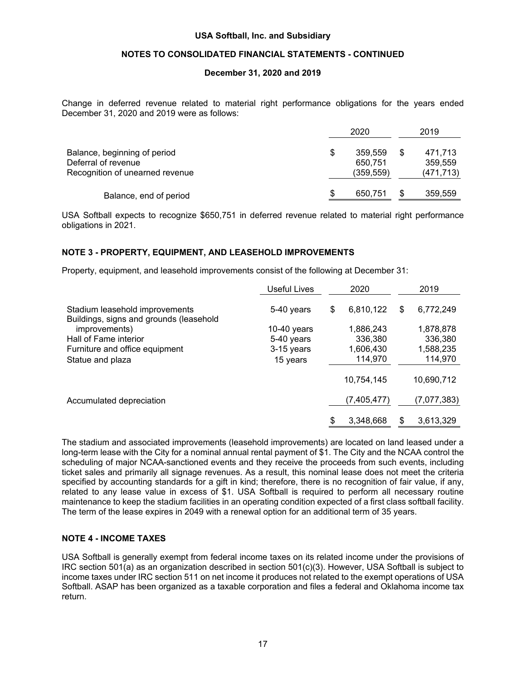## **NOTES TO CONSOLIDATED FINANCIAL STATEMENTS - CONTINUED**

#### **December 31, 2020 and 2019**

Change in deferred revenue related to material right performance obligations for the years ended December 31, 2020 and 2019 were as follows:

|                                                                                        |    | 2020                            |  |                                  |
|----------------------------------------------------------------------------------------|----|---------------------------------|--|----------------------------------|
| Balance, beginning of period<br>Deferral of revenue<br>Recognition of unearned revenue | \$ | 359.559<br>650.751<br>(359,559) |  | 471.713<br>359,559<br>(471, 713) |
| Balance, end of period                                                                 | S  | 650.751                         |  | 359,559                          |

USA Softball expects to recognize \$650,751 in deferred revenue related to material right performance obligations in 2021.

#### **NOTE 3 - PROPERTY, EQUIPMENT, AND LEASEHOLD IMPROVEMENTS**

Property, equipment, and leasehold improvements consist of the following at December 31:

|                                                                           | Useful Lives              |    | 2020                 |    | 2019                 |
|---------------------------------------------------------------------------|---------------------------|----|----------------------|----|----------------------|
| Stadium leasehold improvements<br>Buildings, signs and grounds (leasehold | 5-40 years                | \$ | 6,810,122            | \$ | 6,772,249            |
| improvements)<br>Hall of Fame interior                                    | 10-40 years<br>5-40 years |    | 1,886,243<br>336,380 |    | 1,878,878<br>336,380 |
| Furniture and office equipment<br>Statue and plaza                        | 3-15 years<br>15 years    |    | 1,606,430<br>114,970 |    | 1,588,235<br>114,970 |
|                                                                           |                           |    | 10,754,145           |    | 10,690,712           |
| Accumulated depreciation                                                  |                           |    | (7,405,477)          |    | (7,077,383)          |
|                                                                           |                           | \$ | 3,348,668            | \$ | 3,613,329            |

The stadium and associated improvements (leasehold improvements) are located on land leased under a long-term lease with the City for a nominal annual rental payment of \$1. The City and the NCAA control the scheduling of major NCAA-sanctioned events and they receive the proceeds from such events, including ticket sales and primarily all signage revenues. As a result, this nominal lease does not meet the criteria specified by accounting standards for a gift in kind; therefore, there is no recognition of fair value, if any, related to any lease value in excess of \$1. USA Softball is required to perform all necessary routine maintenance to keep the stadium facilities in an operating condition expected of a first class softball facility. The term of the lease expires in 2049 with a renewal option for an additional term of 35 years.

#### **NOTE 4 - INCOME TAXES**

USA Softball is generally exempt from federal income taxes on its related income under the provisions of IRC section 501(a) as an organization described in section 501(c)(3). However, USA Softball is subject to income taxes under IRC section 511 on net income it produces not related to the exempt operations of USA Softball. ASAP has been organized as a taxable corporation and files a federal and Oklahoma income tax return.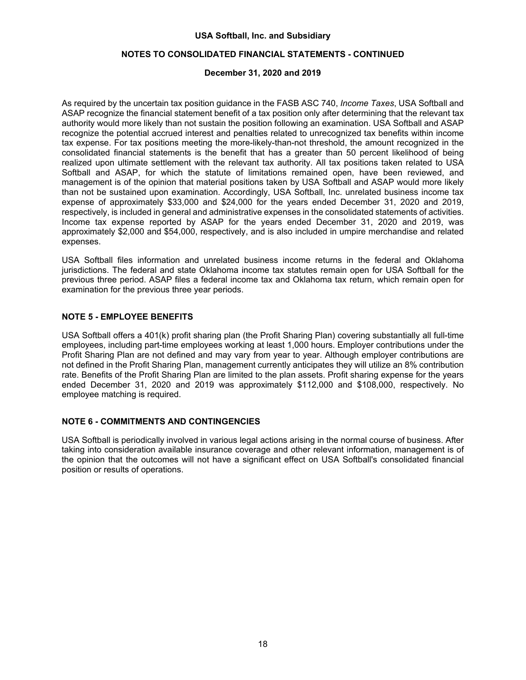## **NOTES TO CONSOLIDATED FINANCIAL STATEMENTS - CONTINUED**

## **December 31, 2020 and 2019**

As required by the uncertain tax position guidance in the FASB ASC 740, *Income Taxes*, USA Softball and ASAP recognize the financial statement benefit of a tax position only after determining that the relevant tax authority would more likely than not sustain the position following an examination. USA Softball and ASAP recognize the potential accrued interest and penalties related to unrecognized tax benefits within income tax expense. For tax positions meeting the more-likely-than-not threshold, the amount recognized in the consolidated financial statements is the benefit that has a greater than 50 percent likelihood of being realized upon ultimate settlement with the relevant tax authority. All tax positions taken related to USA Softball and ASAP, for which the statute of limitations remained open, have been reviewed, and management is of the opinion that material positions taken by USA Softball and ASAP would more likely than not be sustained upon examination. Accordingly, USA Softball, Inc. unrelated business income tax expense of approximately \$33,000 and \$24,000 for the years ended December 31, 2020 and 2019, respectively, is included in general and administrative expenses in the consolidated statements of activities. Income tax expense reported by ASAP for the years ended December 31, 2020 and 2019, was approximately \$2,000 and \$54,000, respectively, and is also included in umpire merchandise and related expenses.

USA Softball files information and unrelated business income returns in the federal and Oklahoma jurisdictions. The federal and state Oklahoma income tax statutes remain open for USA Softball for the previous three period. ASAP files a federal income tax and Oklahoma tax return, which remain open for examination for the previous three year periods.

## **NOTE 5 - EMPLOYEE BENEFITS**

USA Softball offers a 401(k) profit sharing plan (the Profit Sharing Plan) covering substantially all full-time employees, including part-time employees working at least 1,000 hours. Employer contributions under the Profit Sharing Plan are not defined and may vary from year to year. Although employer contributions are not defined in the Profit Sharing Plan, management currently anticipates they will utilize an 8% contribution rate. Benefits of the Profit Sharing Plan are limited to the plan assets. Profit sharing expense for the years ended December 31, 2020 and 2019 was approximately \$112,000 and \$108,000, respectively. No employee matching is required.

#### **NOTE 6 - COMMITMENTS AND CONTINGENCIES**

USA Softball is periodically involved in various legal actions arising in the normal course of business. After taking into consideration available insurance coverage and other relevant information, management is of the opinion that the outcomes will not have a significant effect on USA Softball's consolidated financial position or results of operations.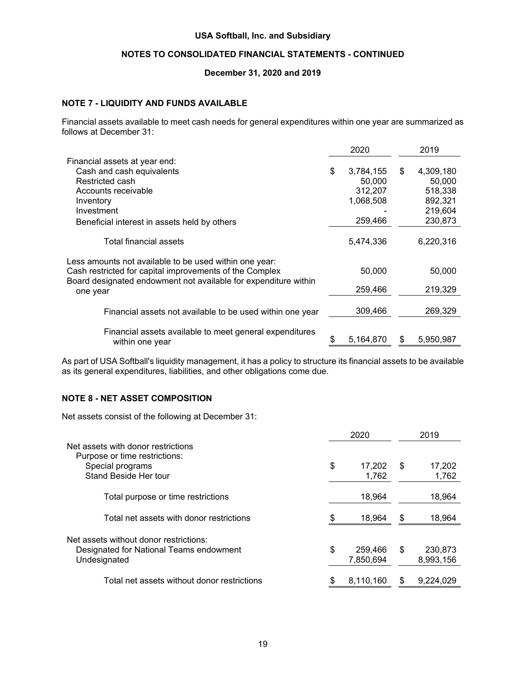## **NOTES TO CONSOLIDATED FINANCIAL STATEMENTS - CONTINUED**

#### **December 31, 2020 and 2019**

#### **NOTE 7 - LIQUIDITY AND FUNDS AVAILABLE**

Financial assets available to meet cash needs for general expenditures within one year are summarized as follows at December 31:

|                                                                                                                   | 2020 |           |    | 2019      |  |
|-------------------------------------------------------------------------------------------------------------------|------|-----------|----|-----------|--|
| Financial assets at year end:                                                                                     |      |           |    |           |  |
| Cash and cash equivalents                                                                                         | \$   | 3,784,155 | \$ | 4,309,180 |  |
| Restricted cash                                                                                                   |      | 50,000    |    | 50,000    |  |
| Accounts receivable                                                                                               |      | 312,207   |    | 518,338   |  |
| Inventory                                                                                                         |      | 1,068,508 |    | 892,321   |  |
| Investment                                                                                                        |      |           |    | 219,604   |  |
| Beneficial interest in assets held by others                                                                      |      | 259,466   |    | 230,873   |  |
| Total financial assets                                                                                            |      | 5,474,336 |    | 6,220,316 |  |
| Less amounts not available to be used within one year:<br>Cash restricted for capital improvements of the Complex |      | 50,000    |    | 50,000    |  |
| Board designated endowment not available for expenditure within<br>one year                                       |      | 259,466   |    | 219,329   |  |
| Financial assets not available to be used within one year                                                         |      | 309,466   |    | 269,329   |  |
| Financial assets available to meet general expenditures<br>within one year                                        | \$   | 5,164,870 | S  | 5,950,987 |  |

As part of USA Softball's liquidity management, it has a policy to structure its financial assets to be available as its general expenditures, liabilities, and other obligations come due.

## **NOTE 8 - NET ASSET COMPOSITION**

Net assets consist of the following at December 31:

|                                                                     | 2020 |           |    | 2019      |
|---------------------------------------------------------------------|------|-----------|----|-----------|
| Net assets with donor restrictions<br>Purpose or time restrictions: |      |           |    |           |
| Special programs                                                    | \$   | 17,202    | \$ | 17,202    |
| Stand Beside Her tour                                               |      | 1.762     |    | 1,762     |
| Total purpose or time restrictions                                  |      | 18.964    |    | 18,964    |
| Total net assets with donor restrictions                            | \$   | 18,964    | S  | 18,964    |
| Net assets without donor restrictions:                              |      |           |    |           |
| Designated for National Teams endowment                             | \$   | 259.466   | \$ | 230.873   |
| Undesignated                                                        |      | 7,850,694 |    | 8,993,156 |
| Total net assets without donor restrictions                         | \$   | 8,110,160 |    | 9,224,029 |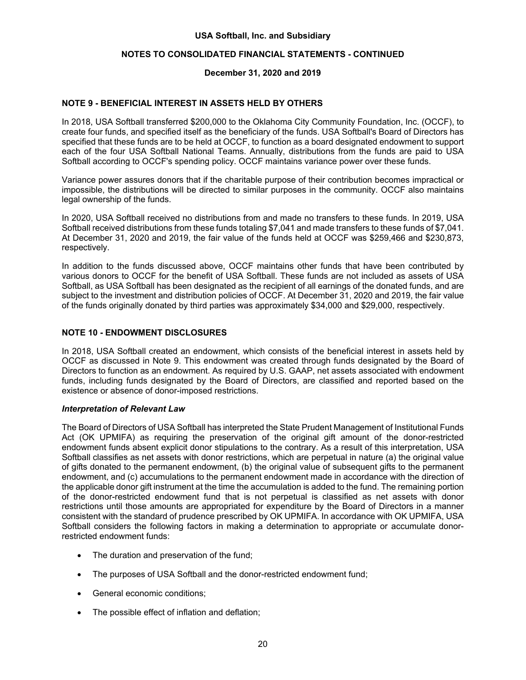## **NOTES TO CONSOLIDATED FINANCIAL STATEMENTS - CONTINUED**

## **December 31, 2020 and 2019**

## **NOTE 9 - BENEFICIAL INTEREST IN ASSETS HELD BY OTHERS**

In 2018, USA Softball transferred \$200,000 to the Oklahoma City Community Foundation, Inc. (OCCF), to create four funds, and specified itself as the beneficiary of the funds. USA Softball's Board of Directors has specified that these funds are to be held at OCCF, to function as a board designated endowment to support each of the four USA Softball National Teams. Annually, distributions from the funds are paid to USA Softball according to OCCF's spending policy. OCCF maintains variance power over these funds.

Variance power assures donors that if the charitable purpose of their contribution becomes impractical or impossible, the distributions will be directed to similar purposes in the community. OCCF also maintains legal ownership of the funds.

In 2020, USA Softball received no distributions from and made no transfers to these funds. In 2019, USA Softball received distributions from these funds totaling \$7,041 and made transfers to these funds of \$7,041. At December 31, 2020 and 2019, the fair value of the funds held at OCCF was \$259,466 and \$230,873, respectively.

In addition to the funds discussed above, OCCF maintains other funds that have been contributed by various donors to OCCF for the benefit of USA Softball. These funds are not included as assets of USA Softball, as USA Softball has been designated as the recipient of all earnings of the donated funds, and are subject to the investment and distribution policies of OCCF. At December 31, 2020 and 2019, the fair value of the funds originally donated by third parties was approximately \$34,000 and \$29,000, respectively.

## **NOTE 10 - ENDOWMENT DISCLOSURES**

In 2018, USA Softball created an endowment, which consists of the beneficial interest in assets held by OCCF as discussed in Note 9. This endowment was created through funds designated by the Board of Directors to function as an endowment. As required by U.S. GAAP, net assets associated with endowment funds, including funds designated by the Board of Directors, are classified and reported based on the existence or absence of donor-imposed restrictions.

#### *Interpretation of Relevant Law*

The Board of Directors of USA Softball has interpreted the State Prudent Management of Institutional Funds Act (OK UPMIFA) as requiring the preservation of the original gift amount of the donor-restricted endowment funds absent explicit donor stipulations to the contrary. As a result of this interpretation, USA Softball classifies as net assets with donor restrictions, which are perpetual in nature (a) the original value of gifts donated to the permanent endowment, (b) the original value of subsequent gifts to the permanent endowment, and (c) accumulations to the permanent endowment made in accordance with the direction of the applicable donor gift instrument at the time the accumulation is added to the fund. The remaining portion of the donor-restricted endowment fund that is not perpetual is classified as net assets with donor restrictions until those amounts are appropriated for expenditure by the Board of Directors in a manner consistent with the standard of prudence prescribed by OK UPMIFA. In accordance with OK UPMIFA, USA Softball considers the following factors in making a determination to appropriate or accumulate donorrestricted endowment funds:

- The duration and preservation of the fund;
- The purposes of USA Softball and the donor-restricted endowment fund;
- General economic conditions;
- The possible effect of inflation and deflation;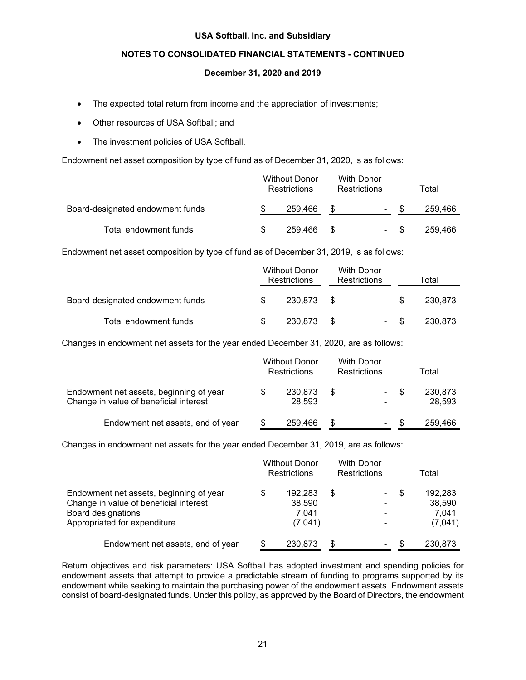## **NOTES TO CONSOLIDATED FINANCIAL STATEMENTS - CONTINUED**

## **December 31, 2020 and 2019**

- The expected total return from income and the appreciation of investments;
- Other resources of USA Softball; and
- The investment policies of USA Softball.

Endowment net asset composition by type of fund as of December 31, 2020, is as follows:

|                                  | <b>Without Donor</b><br><b>Restrictions</b> |         | With Donor<br>Restrictions |                | Total |         |  |
|----------------------------------|---------------------------------------------|---------|----------------------------|----------------|-------|---------|--|
| Board-designated endowment funds |                                             | 259.466 |                            | ۰              |       | 259.466 |  |
| Total endowment funds            |                                             | 259,466 |                            | $\blacksquare$ |       | 259,466 |  |

Endowment net asset composition by type of fund as of December 31, 2019, is as follows:

|                                  | <b>Without Donor</b><br>Restrictions |         | With Donor<br><b>Restrictions</b> |        | Total |         |  |
|----------------------------------|--------------------------------------|---------|-----------------------------------|--------|-------|---------|--|
| Board-designated endowment funds |                                      | 230.873 |                                   | $\sim$ |       | 230.873 |  |
| Total endowment funds            |                                      | 230,873 |                                   | $\sim$ |       | 230,873 |  |

Changes in endowment net assets for the year ended December 31, 2020, are as follows:

|                                                                                   | <b>Without Donor</b><br><b>Restrictions</b> | <b>With Donor</b><br><b>Restrictions</b> |           | Total |                   |
|-----------------------------------------------------------------------------------|---------------------------------------------|------------------------------------------|-----------|-------|-------------------|
| Endowment net assets, beginning of year<br>Change in value of beneficial interest | 230,873<br>28.593                           | - \$                                     | - \$<br>- |       | 230,873<br>28,593 |
| Endowment net assets, end of year                                                 | 259,466                                     | \$                                       | $\sim$    | - \$  | 259.466           |

Changes in endowment net assets for the year ended December 31, 2019, are as follows:

|                                                                                                                                         |    | <b>Without Donor</b><br><b>Restrictions</b> | <b>With Donor</b><br><b>Restrictions</b> |                                                                                          | Total |                                       |
|-----------------------------------------------------------------------------------------------------------------------------------------|----|---------------------------------------------|------------------------------------------|------------------------------------------------------------------------------------------|-------|---------------------------------------|
| Endowment net assets, beginning of year<br>Change in value of beneficial interest<br>Board designations<br>Appropriated for expenditure | \$ | 192,283<br>38.590<br>7.041<br>(7,041)       | \$                                       | $\overline{\phantom{a}}$<br>$\blacksquare$<br>$\overline{\phantom{0}}$<br>$\blacksquare$ | \$    | 192.283<br>38,590<br>7.041<br>(7,041) |
| Endowment net assets, end of year                                                                                                       |    | 230,873                                     | S                                        | ۰                                                                                        |       | 230.873                               |

Return objectives and risk parameters: USA Softball has adopted investment and spending policies for endowment assets that attempt to provide a predictable stream of funding to programs supported by its endowment while seeking to maintain the purchasing power of the endowment assets. Endowment assets consist of board-designated funds. Under this policy, as approved by the Board of Directors, the endowment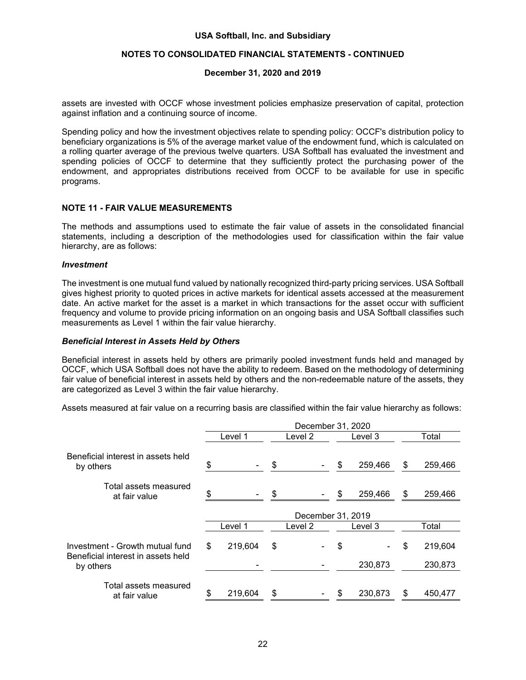## **NOTES TO CONSOLIDATED FINANCIAL STATEMENTS - CONTINUED**

#### **December 31, 2020 and 2019**

assets are invested with OCCF whose investment policies emphasize preservation of capital, protection against inflation and a continuing source of income.

Spending policy and how the investment objectives relate to spending policy: OCCF's distribution policy to beneficiary organizations is 5% of the average market value of the endowment fund, which is calculated on a rolling quarter average of the previous twelve quarters. USA Softball has evaluated the investment and spending policies of OCCF to determine that they sufficiently protect the purchasing power of the endowment, and appropriates distributions received from OCCF to be available for use in specific programs.

## **NOTE 11 - FAIR VALUE MEASUREMENTS**

The methods and assumptions used to estimate the fair value of assets in the consolidated financial statements, including a description of the methodologies used for classification within the fair value hierarchy, are as follows:

#### *Investment*

The investment is one mutual fund valued by nationally recognized third-party pricing services. USA Softball gives highest priority to quoted prices in active markets for identical assets accessed at the measurement date. An active market for the asset is a market in which transactions for the asset occur with sufficient frequency and volume to provide pricing information on an ongoing basis and USA Softball classifies such measurements as Level 1 within the fair value hierarchy.

#### *Beneficial Interest in Assets Held by Others*

Beneficial interest in assets held by others are primarily pooled investment funds held and managed by OCCF, which USA Softball does not have the ability to redeem. Based on the methodology of determining fair value of beneficial interest in assets held by others and the non-redeemable nature of the assets, they are categorized as Level 3 within the fair value hierarchy.

Assets measured at fair value on a recurring basis are classified within the fair value hierarchy as follows:

|                                                                       | December 31, 2020 |                |         |         |         |         |       |         |
|-----------------------------------------------------------------------|-------------------|----------------|---------|---------|---------|---------|-------|---------|
|                                                                       | Level 1           |                | Level 2 |         | Level 3 |         | Total |         |
| Beneficial interest in assets held<br>by others                       | \$                | $\blacksquare$ | \$      |         | \$      | 259,466 | \$    | 259,466 |
| Total assets measured<br>at fair value                                |                   |                | \$      |         | \$      | 259,466 | \$    | 259,466 |
|                                                                       | December 31, 2019 |                |         |         |         |         |       |         |
|                                                                       |                   | Level 1        |         | Level 2 |         | Level 3 |       | Total   |
| Investment - Growth mutual fund<br>Beneficial interest in assets held | \$                | 219,604        | \$      |         | \$      |         | \$    | 219,604 |
| by others                                                             |                   |                |         |         |         | 230,873 |       | 230,873 |
| Total assets measured<br>at fair value                                |                   | 219,604        | \$      |         | \$      | 230,873 | S     | 450,477 |